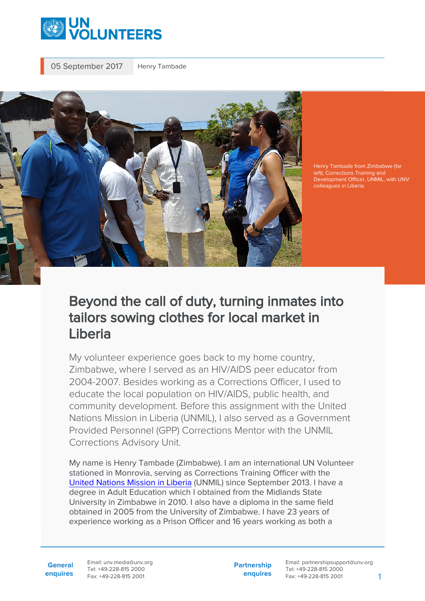

05 September 2017 Henry Tambade



Henry Tambade from Zimbabwe (far left), Corrections Training and Development Officer, UNMIL, with UNV colleagues in Liberia.

## Beyond the call of duty, turning inmates into tailors sowing clothes for local market in Liberia

My volunteer experience goes back to my home country, Zimbabwe, where I served as an HIV/AIDS peer educator from 2004-2007. Besides working as a Corrections Officer, I used to educate the local population on HIV/AIDS, public health, and community development. Before this assignment with the United Nations Mission in Liberia (UNMIL), I also served as a Government Provided Personnel (GPP) Corrections Mentor with the UNMIL Corrections Advisory Unit.

My name is Henry Tambade (Zimbabwe). I am an international UN Volunteer stationed in Monrovia, serving as Corrections Training Officer with the [United Nations Mission in Liberia](https://unmil.unmissions.org/) (UNMIL) since September 2013. I have a degree in Adult Education which I obtained from the Midlands State University in Zimbabwe in 2010. I also have a diploma in the same field obtained in 2005 from the University of Zimbabwe. I have 23 years of experience working as a Prison Officer and 16 years working as both a

**General enquires** Email: unv.media@unv.org Tel: +49-228-815 2000 Fax: +49-228-815 2001

**Partnership enquires** Email: partnershipsupport@unv.org Tel: +49-228-815 2000 Fax: +49-228-815 2001 1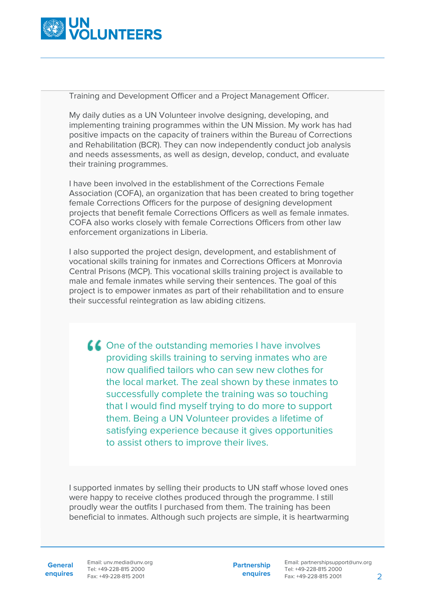

Training and Development Officer and a Project Management Officer.

My daily duties as a UN Volunteer involve designing, developing, and implementing training programmes within the UN Mission. My work has had positive impacts on the capacity of trainers within the Bureau of Corrections and Rehabilitation (BCR). They can now independently conduct job analysis and needs assessments, as well as design, develop, conduct, and evaluate their training programmes.

I have been involved in the establishment of the Corrections Female Association (COFA), an organization that has been created to bring together female Corrections Officers for the purpose of designing development projects that benefit female Corrections Officers as well as female inmates. COFA also works closely with female Corrections Officers from other law enforcement organizations in Liberia.

I also supported the project design, development, and establishment of vocational skills training for inmates and Corrections Officers at Monrovia Central Prisons (MCP). This vocational skills training project is available to male and female inmates while serving their sentences. The goal of this project is to empower inmates as part of their rehabilitation and to ensure their successful reintegration as law abiding citizens.

**CO**ne of the outstanding memories I have involves providing skills training to serving inmates who are now qualified tailors who can sew new clothes for the local market. The zeal shown by these inmates to successfully complete the training was so touching that I would find myself trying to do more to support them. Being a UN Volunteer provides a lifetime of satisfying experience because it gives opportunities to assist others to improve their lives.

I supported inmates by selling their products to UN staff whose loved ones were happy to receive clothes produced through the programme. I still proudly wear the outfits I purchased from them. The training has been beneficial to inmates. Although such projects are simple, it is heartwarming

**General**

**enquires** Fax: +49-228-815 2001 Email: unv.media@unv.org Tel: +49-228-815 2000

**Partnership enquires**

Email: partnershipsupport@unv.org Tel: +49-228-815 2000 Fax: +49-228-815 2001 2